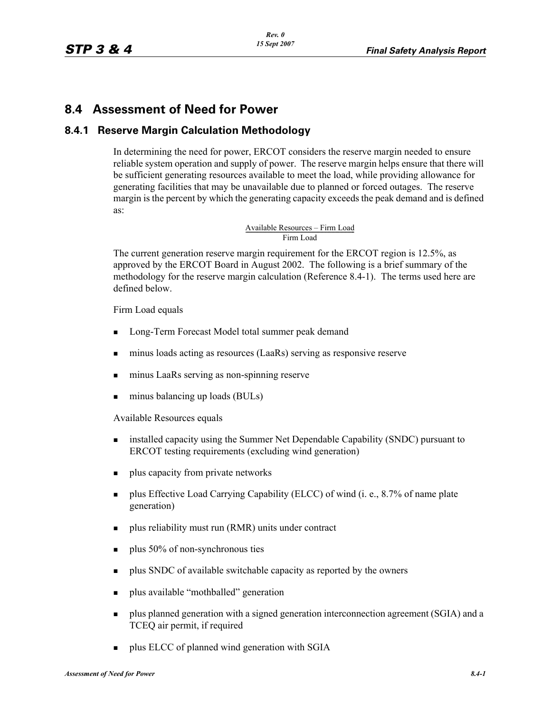# **8.4 Assessment of Need for Power**

### **8.4.1 Reserve Margin Calculation Methodology**

In determining the need for power, ERCOT considers the reserve margin needed to ensure reliable system operation and supply of power. The reserve margin helps ensure that there will be sufficient generating resources available to meet the load, while providing allowance for generating facilities that may be unavailable due to planned or forced outages. The reserve margin is the percent by which the generating capacity exceeds the peak demand and is defined as:

Available Resources – Firm Load<br>Firm Load

The current generation reserve margin requirement for the ERCOT region is 12.5%, as approved by the ERCOT Board in August 2002. The following is a brief summary of the methodology for the reserve margin calculation (Reference 8.4-1). The terms used here are defined below.

Firm Load equals

- **Long-Term Forecast Model total summer peak demand**
- minus loads acting as resources (LaaRs) serving as responsive reserve
- minus LaaRs serving as non-spinning reserve
- minus balancing up loads (BULs)

Available Resources equals

- **Example 3** installed capacity using the Summer Net Dependable Capability (SNDC) pursuant to ERCOT testing requirements (excluding wind generation)
- **p** plus capacity from private networks
- **Plus Effective Load Carrying Capability (ELCC) of wind (i. e., 8.7% of name plate** generation)
- **plus reliability must run (RMR) units under contract**
- $\blacksquare$  plus 50% of non-synchronous ties
- **plus SNDC** of available switchable capacity as reported by the owners
- **plus available "mothballed" generation**
- **Plus planned generation with a signed generation interconnection agreement (SGIA) and a** TCEQ air permit, if required
- **Plus ELCC of planned wind generation with SGIA**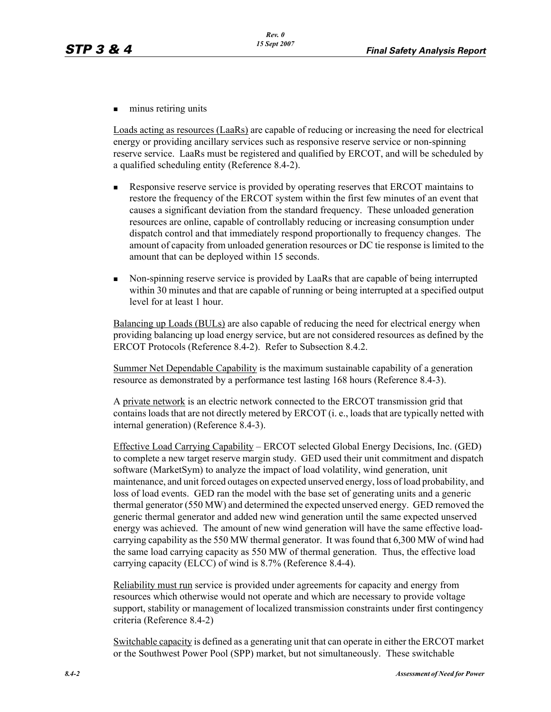$\blacksquare$  minus retiring units

Loads acting as resources (LaaRs) are capable of reducing or increasing the need for electrical energy or providing ancillary services such as responsive reserve service or non-spinning reserve service. LaaRs must be registered and qualified by ERCOT, and will be scheduled by a qualified scheduling entity (Reference 8.4-2).

- **Responsive reserve service is provided by operating reserves that ERCOT maintains to** restore the frequency of the ERCOT system within the first few minutes of an event that causes a significant deviation from the standard frequency. These unloaded generation resources are online, capable of controllably reducing or increasing consumption under dispatch control and that immediately respond proportionally to frequency changes. The amount of capacity from unloaded generation resources or DC tie response is limited to the amount that can be deployed within 15 seconds.
- Non-spinning reserve service is provided by LaaRs that are capable of being interrupted within 30 minutes and that are capable of running or being interrupted at a specified output level for at least 1 hour.

Balancing up Loads (BULs) are also capable of reducing the need for electrical energy when providing balancing up load energy service, but are not considered resources as defined by the ERCOT Protocols (Reference 8.4-2). Refer to Subsection 8.4.2.

Summer Net Dependable Capability is the maximum sustainable capability of a generation resource as demonstrated by a performance test lasting 168 hours (Reference 8.4-3).

A private network is an electric network connected to the ERCOT transmission grid that contains loads that are not directly metered by ERCOT (i. e., loads that are typically netted with internal generation) (Reference 8.4-3).

Effective Load Carrying Capability – ERCOT selected Global Energy Decisions, Inc. (GED) to complete a new target reserve margin study. GED used their unit commitment and dispatch software (MarketSym) to analyze the impact of load volatility, wind generation, unit maintenance, and unit forced outages on expected unserved energy, loss of load probability, and loss of load events. GED ran the model with the base set of generating units and a generic thermal generator (550 MW) and determined the expected unserved energy. GED removed the generic thermal generator and added new wind generation until the same expected unserved energy was achieved. The amount of new wind generation will have the same effective loadcarrying capability as the 550 MW thermal generator. It was found that 6,300 MW of wind had the same load carrying capacity as 550 MW of thermal generation. Thus, the effective load carrying capacity (ELCC) of wind is 8.7% (Reference 8.4-4).

Reliability must run service is provided under agreements for capacity and energy from resources which otherwise would not operate and which are necessary to provide voltage support, stability or management of localized transmission constraints under first contingency criteria (Reference 8.4-2)

Switchable capacity is defined as a generating unit that can operate in either the ERCOT market or the Southwest Power Pool (SPP) market, but not simultaneously. These switchable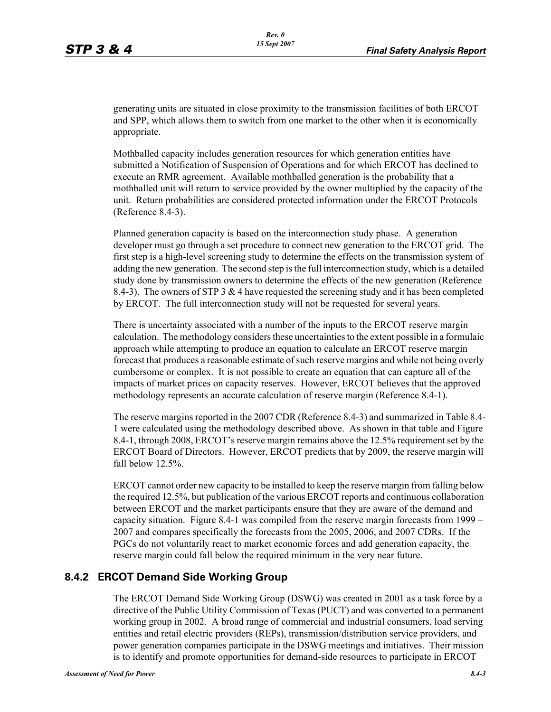generating units are situated in close proximity to the transmission facilities of both ERCOT and SPP, which allows them to switch from one market to the other when it is economically appropriate.

Mothballed capacity includes generation resources for which generation entities have submitted a Notification of Suspension of Operations and for which ERCOT has declined to execute an RMR agreement. Available mothballed generation is the probability that a mothballed unit will return to service provided by the owner multiplied by the capacity of the unit. Return probabilities are considered protected information under the ERCOT Protocols (Reference 8.4-3).

Planned generation capacity is based on the interconnection study phase. A generation developer must go through a set procedure to connect new generation to the ERCOT grid. The first step is a high-level screening study to determine the effects on the transmission system of adding the new generation. The second step is the full interconnection study, which is a detailed study done by transmission owners to determine the effects of the new generation (Reference 8.4-3). The owners of STP 3  $\&$  4 have requested the screening study and it has been completed by ERCOT. The full interconnection study will not be requested for several years.

There is uncertainty associated with a number of the inputs to the ERCOT reserve margin calculation. The methodology considers these uncertainties to the extent possible in a formulaic approach while attempting to produce an equation to calculate an ERCOT reserve margin forecast that produces a reasonable estimate of such reserve margins and while not being overly cumbersome or complex. It is not possible to create an equation that can capture all of the impacts of market prices on capacity reserves. However, ERCOT believes that the approved methodology represents an accurate calculation of reserve margin (Reference 8.4-1).

The reserve margins reported in the 2007 CDR (Reference 8.4-3) and summarized in Table 8.4- 1 were calculated using the methodology described above. As shown in that table and Figure 8.4-1, through 2008, ERCOT's reserve margin remains above the 12.5% requirement set by the ERCOT Board of Directors. However, ERCOT predicts that by 2009, the reserve margin will fall below 12.5%.

ERCOT cannot order new capacity to be installed to keep the reserve margin from falling below the required 12.5%, but publication of the various ERCOT reports and continuous collaboration between ERCOT and the market participants ensure that they are aware of the demand and capacity situation. Figure 8.4-1 was compiled from the reserve margin forecasts from 1999 – 2007 and compares specifically the forecasts from the 2005, 2006, and 2007 CDRs. If the PGCs do not voluntarily react to market economic forces and add generation capacity, the reserve margin could fall below the required minimum in the very near future.

### **8.4.2 ERCOT Demand Side Working Group**

The ERCOT Demand Side Working Group (DSWG) was created in 2001 as a task force by a directive of the Public Utility Commission of Texas (PUCT) and was converted to a permanent working group in 2002. A broad range of commercial and industrial consumers, load serving entities and retail electric providers (REPs), transmission/distribution service providers, and power generation companies participate in the DSWG meetings and initiatives. Their mission is to identify and promote opportunities for demand-side resources to participate in ERCOT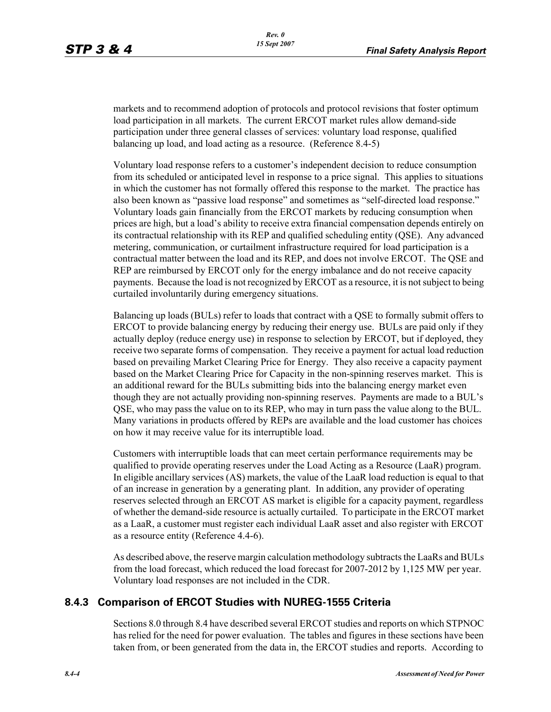markets and to recommend adoption of protocols and protocol revisions that foster optimum load participation in all markets. The current ERCOT market rules allow demand-side participation under three general classes of services: voluntary load response, qualified balancing up load, and load acting as a resource. (Reference 8.4-5)

Voluntary load response refers to a customer's independent decision to reduce consumption from its scheduled or anticipated level in response to a price signal. This applies to situations in which the customer has not formally offered this response to the market. The practice has also been known as "passive load response" and sometimes as "self-directed load response." Voluntary loads gain financially from the ERCOT markets by reducing consumption when prices are high, but a load's ability to receive extra financial compensation depends entirely on its contractual relationship with its REP and qualified scheduling entity (QSE). Any advanced metering, communication, or curtailment infrastructure required for load participation is a contractual matter between the load and its REP, and does not involve ERCOT. The QSE and REP are reimbursed by ERCOT only for the energy imbalance and do not receive capacity payments. Because the load is not recognized by ERCOT as a resource, it is not subject to being curtailed involuntarily during emergency situations.

Balancing up loads (BULs) refer to loads that contract with a QSE to formally submit offers to ERCOT to provide balancing energy by reducing their energy use. BULs are paid only if they actually deploy (reduce energy use) in response to selection by ERCOT, but if deployed, they receive two separate forms of compensation. They receive a payment for actual load reduction based on prevailing Market Clearing Price for Energy. They also receive a capacity payment based on the Market Clearing Price for Capacity in the non-spinning reserves market. This is an additional reward for the BULs submitting bids into the balancing energy market even though they are not actually providing non-spinning reserves. Payments are made to a BUL's QSE, who may pass the value on to its REP, who may in turn pass the value along to the BUL. Many variations in products offered by REPs are available and the load customer has choices on how it may receive value for its interruptible load.

Customers with interruptible loads that can meet certain performance requirements may be qualified to provide operating reserves under the Load Acting as a Resource (LaaR) program. In eligible ancillary services (AS) markets, the value of the LaaR load reduction is equal to that of an increase in generation by a generating plant. In addition, any provider of operating reserves selected through an ERCOT AS market is eligible for a capacity payment, regardless of whether the demand-side resource is actually curtailed. To participate in the ERCOT market [as a LaaR, a customer must register each individual LaaR asset and also register with ERCOT](http://www.ercot.com/services/rq/re/index.html)  as a resource entity (Reference 4.4-6).

As described above, the reserve margin calculation methodology subtracts the LaaRs and BULs from the load forecast, which reduced the load forecast for 2007-2012 by 1,125 MW per year. Voluntary load responses are not included in the CDR.

#### **8.4.3 Comparison of ERCOT Studies with NUREG-1555 Criteria**

Sections 8.0 through 8.4 have described several ERCOT studies and reports on which STPNOC has relied for the need for power evaluation. The tables and figures in these sections have been taken from, or been generated from the data in, the ERCOT studies and reports. According to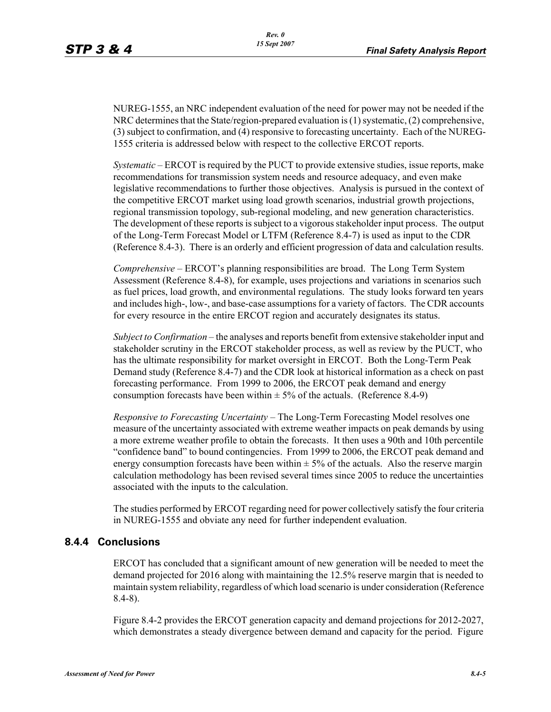NUREG-1555, an NRC independent evaluation of the need for power may not be needed if the NRC determines that the State/region-prepared evaluation is (1) systematic, (2) comprehensive, (3) subject to confirmation, and (4) responsive to forecasting uncertainty. Each of the NUREG-1555 criteria is addressed below with respect to the collective ERCOT reports.

*Systematic* – ERCOT is required by the PUCT to provide extensive studies, issue reports, make recommendations for transmission system needs and resource adequacy, and even make legislative recommendations to further those objectives. Analysis is pursued in the context of the competitive ERCOT market using load growth scenarios, industrial growth projections, regional transmission topology, sub-regional modeling, and new generation characteristics. The development of these reports is subject to a vigorous stakeholder input process. The output of the Long-Term Forecast Model or LTFM (Reference 8.4-7) is used as input to the CDR (Reference 8.4-3). There is an orderly and efficient progression of data and calculation results.

*Comprehensive* – ERCOT's planning responsibilities are broad. The Long Term System Assessment (Reference 8.4-8), for example, uses projections and variations in scenarios such as fuel prices, load growth, and environmental regulations. The study looks forward ten years and includes high-, low-, and base-case assumptions for a variety of factors. The CDR accounts for every resource in the entire ERCOT region and accurately designates its status.

*Subject to Confirmation* – the analyses and reports benefit from extensive stakeholder input and stakeholder scrutiny in the ERCOT stakeholder process, as well as review by the PUCT, who has the ultimate responsibility for market oversight in ERCOT. Both the Long-Term Peak Demand study (Reference 8.4-7) and the CDR look at historical information as a check on past forecasting performance. From 1999 to 2006, the ERCOT peak demand and energy consumption forecasts have been within  $\pm$  5% of the actuals. (Reference 8.4-9)

*Responsive to Forecasting Uncertainty* – The Long-Term Forecasting Model resolves one measure of the uncertainty associated with extreme weather impacts on peak demands by using a more extreme weather profile to obtain the forecasts. It then uses a 90th and 10th percentile "confidence band" to bound contingencies. From 1999 to 2006, the ERCOT peak demand and energy consumption forecasts have been within  $\pm$  5% of the actuals. Also the reserve margin calculation methodology has been revised several times since 2005 to reduce the uncertainties associated with the inputs to the calculation.

The studies performed by ERCOT regarding need for power collectively satisfy the four criteria in NUREG-1555 and obviate any need for further independent evaluation.

#### **8.4.4 Conclusions**

ERCOT has concluded that a significant amount of new generation will be needed to meet the demand projected for 2016 along with maintaining the 12.5% reserve margin that is needed to maintain system reliability, regardless of which load scenario is under consideration (Reference 8.4-8).

Figure 8.4-2 provides the ERCOT generation capacity and demand projections for 2012-2027, which demonstrates a steady divergence between demand and capacity for the period. Figure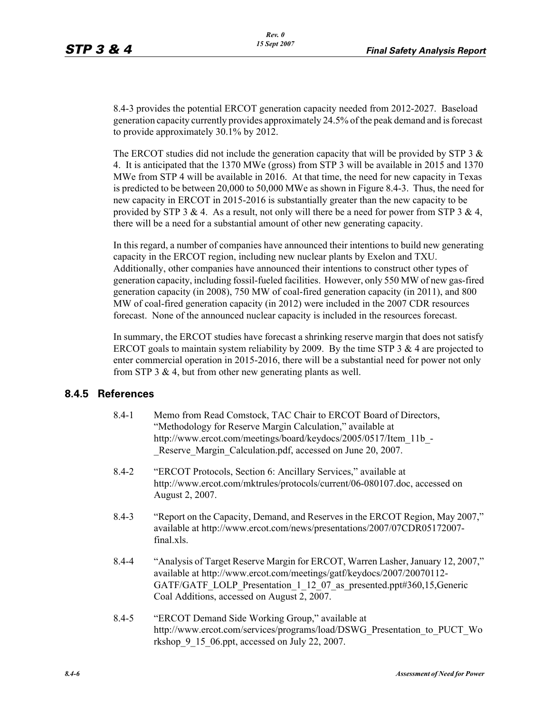8.4-3 provides the potential ERCOT generation capacity needed from 2012-2027. Baseload generation capacity currently provides approximately 24.5% of the peak demand and is forecast to provide approximately 30.1% by 2012.

The ERCOT studies did not include the generation capacity that will be provided by STP 3  $\&$ 4. It is anticipated that the 1370 MWe (gross) from STP 3 will be available in 2015 and 1370 MWe from STP 4 will be available in 2016. At that time, the need for new capacity in Texas is predicted to be between 20,000 to 50,000 MWe as shown in Figure 8.4-3. Thus, the need for new capacity in ERCOT in 2015-2016 is substantially greater than the new capacity to be provided by STP 3 & 4. As a result, not only will there be a need for power from STP 3 & 4, there will be a need for a substantial amount of other new generating capacity.

In this regard, a number of companies have announced their intentions to build new generating capacity in the ERCOT region, including new nuclear plants by Exelon and TXU. Additionally, other companies have announced their intentions to construct other types of generation capacity, including fossil-fueled facilities. However, only 550 MW of new gas-fired generation capacity (in 2008), 750 MW of coal-fired generation capacity (in 2011), and 800 MW of coal-fired generation capacity (in 2012) were included in the 2007 CDR resources forecast. None of the announced nuclear capacity is included in the resources forecast.

In summary, the ERCOT studies have forecast a shrinking reserve margin that does not satisfy ERCOT goals to maintain system reliability by 2009. By the time STP 3  $\&$  4 are projected to enter commercial operation in 2015-2016, there will be a substantial need for power not only from STP 3  $\&$  4, but from other new generating plants as well.

#### **8.4.5 References**

| $8.4 - 1$ | Memo from Read Comstock, TAC Chair to ERCOT Board of Directors,<br>"Methodology for Reserve Margin Calculation," available at<br>http://www.ercot.com/meetings/board/keydocs/2005/0517/Item 11b -<br>Reserve Margin Calculation.pdf, accessed on June 20, 2007.                 |
|-----------|---------------------------------------------------------------------------------------------------------------------------------------------------------------------------------------------------------------------------------------------------------------------------------|
| $8.4 - 2$ | "ERCOT Protocols, Section 6: Ancillary Services," available at<br>http://www.ercot.com/mktrules/protocols/current/06-080107.doc, accessed on<br>August 2, 2007.                                                                                                                 |
| $8.4 - 3$ | "Report on the Capacity, Demand, and Reserves in the ERCOT Region, May 2007,"<br>available at http://www.ercot.com/news/presentations/2007/07CDR05172007-<br>final.xls.                                                                                                         |
| $8.4 - 4$ | "Analysis of Target Reserve Margin for ERCOT, Warren Lasher, January 12, 2007,"<br>available at http://www.ercot.com/meetings/gatf/keydocs/2007/20070112-<br>GATF/GATF LOLP Presentation 1 12 07 as presented.ppt#360,15,Generic<br>Coal Additions, accessed on August 2, 2007. |
| $8.4 - 5$ | "ERCOT Demand Side Working Group," available at<br>http://www.ercot.com/services/programs/load/DSWG Presentation to PUCT Wo<br>rkshop 9 15 06.ppt, accessed on July 22, 2007.                                                                                                   |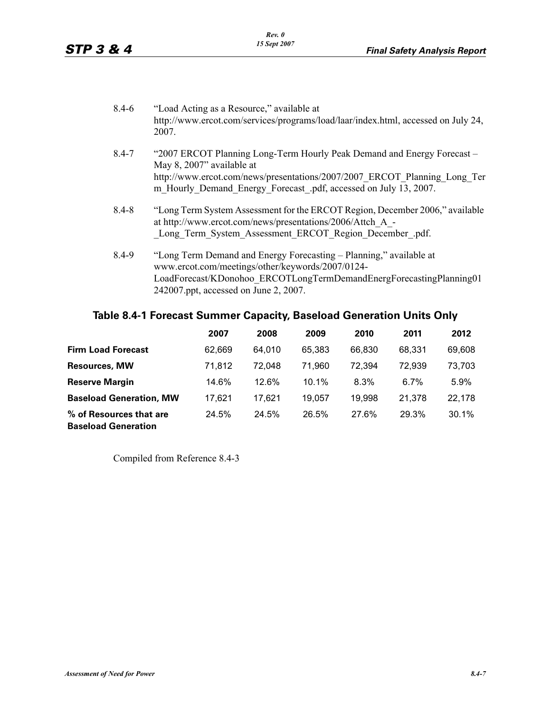| $8.4 - 6$ | "Load Acting as a Resource," available at<br>http://www.ercot.com/services/programs/load/laar/index.html, accessed on July 24,<br>2007.                                                                                                               |
|-----------|-------------------------------------------------------------------------------------------------------------------------------------------------------------------------------------------------------------------------------------------------------|
| $8.4 - 7$ | "2007 ERCOT Planning Long-Term Hourly Peak Demand and Energy Forecast –<br>May 8, 2007" available at<br>http://www.ercot.com/news/presentations/2007/2007 ERCOT Planning Long Ter<br>m Hourly Demand Energy Forecast .pdf, accessed on July 13, 2007. |
| $8.4 - 8$ | "Long Term System Assessment for the ERCOT Region, December 2006," available<br>at http://www.ercot.com/news/presentations/2006/Attch A -<br>Long Term System Assessment ERCOT Region December .pdf.                                                  |
| $8.4 - 9$ | "Long Term Demand and Energy Forecasting – Planning," available at<br>www.ercot.com/meetings/other/keywords/2007/0124-<br>LoadForecast/KDonohoo ERCOTLongTermDemandEnergForecastingPlanning01<br>242007.ppt, accessed on June 2, 2007.                |

# **Table 8.4-1 Forecast Summer Capacity, Baseload Generation Units Only**

|                                                       | 2007   | 2008   | 2009     | 2010   | 2011    | 2012     |
|-------------------------------------------------------|--------|--------|----------|--------|---------|----------|
| <b>Firm Load Forecast</b>                             | 62.669 | 64.010 | 65.383   | 66.830 | 68.331  | 69,608   |
| <b>Resources, MW</b>                                  | 71,812 | 72.048 | 71.960   | 72.394 | 72,939  | 73,703   |
| <b>Reserve Margin</b>                                 | 14.6%  | 12.6%  | $10.1\%$ | 8.3%   | $6.7\%$ | 5.9%     |
| <b>Baseload Generation, MW</b>                        | 17.621 | 17.621 | 19.057   | 19,998 | 21,378  | 22,178   |
| % of Resources that are<br><b>Baseload Generation</b> | 24.5%  | 24.5%  | 26.5%    | 27.6%  | 29.3%   | $30.1\%$ |

Compiled from Reference 8.4-3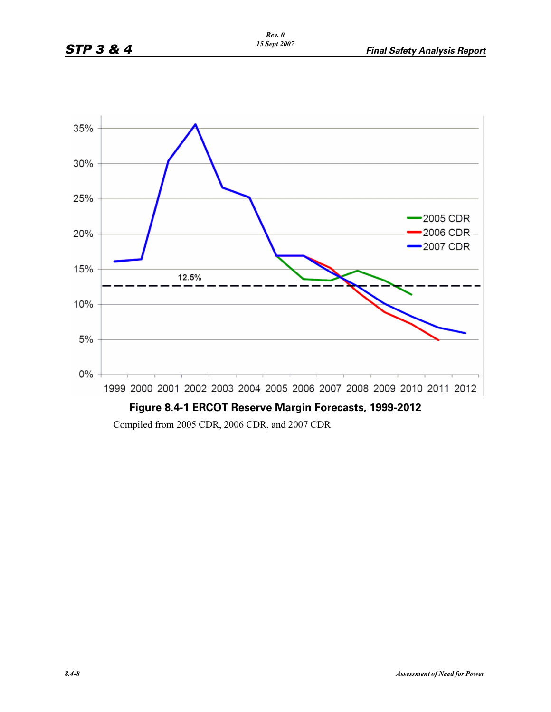

Compiled from 2005 CDR, 2006 CDR, and 2007 CDR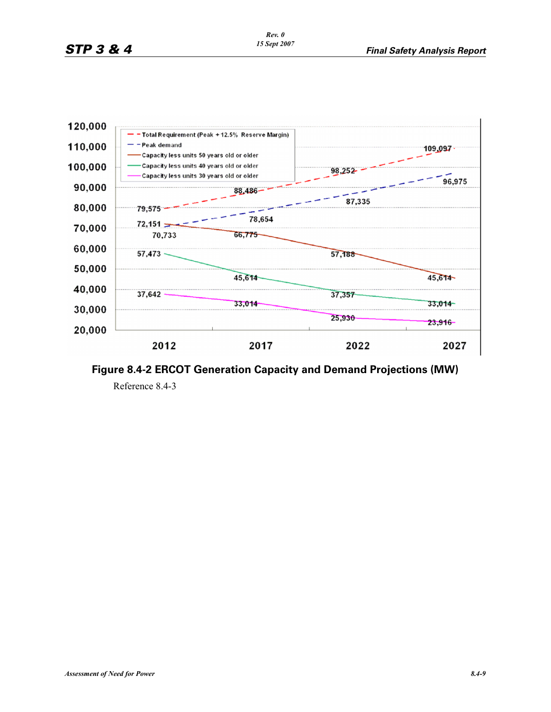

**Figure 8.4-2 ERCOT Generation Capacity and Demand Projections (MW)** Reference 8.4-3